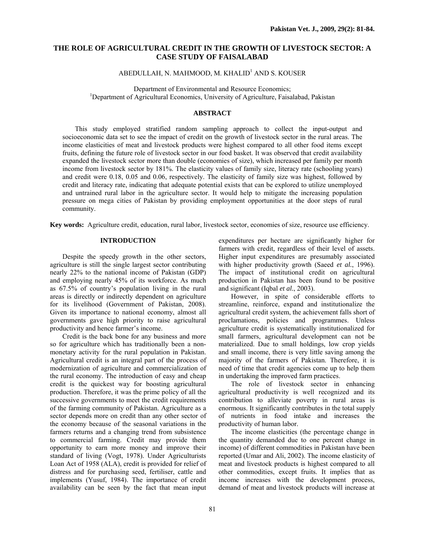# **THE ROLE OF AGRICULTURAL CREDIT IN THE GROWTH OF LIVESTOCK SECTOR: A CASE STUDY OF FAISALABAD**

ABEDULLAH, N. MAHMOOD, M. KHALID<sup>1</sup> AND S. KOUSER

Department of Environmental and Resource Economics; 1 <sup>1</sup>Department of Agricultural Economics, University of Agriculture, Faisalabad, Pakistan

## **ABSTRACT**

This study employed stratified random sampling approach to collect the input-output and socioeconomic data set to see the impact of credit on the growth of livestock sector in the rural areas. The income elasticities of meat and livestock products were highest compared to all other food items except fruits, defining the future role of livestock sector in our food basket. It was observed that credit availability expanded the livestock sector more than double (economies of size), which increased per family per month income from livestock sector by 181%. The elasticity values of family size, literacy rate (schooling years) and credit were 0.18, 0.05 and 0.06, respectively. The elasticity of family size was highest, followed by credit and literacy rate, indicating that adequate potential exists that can be explored to utilize unemployed and untrained rural labor in the agriculture sector. It would help to mitigate the increasing population pressure on mega cities of Pakistan by providing employment opportunities at the door steps of rural community.

**Key words:** Agriculture credit, education, rural labor, livestock sector, economies of size, resource use efficiency.

## **INTRODUCTION**

Despite the speedy growth in the other sectors, agriculture is still the single largest sector contributing nearly 22% to the national income of Pakistan (GDP) and employing nearly 45% of its workforce. As much as 67.5% of country's population living in the rural areas is directly or indirectly dependent on agriculture for its livelihood (Government of Pakistan, 2008). Given its importance to national economy, almost all governments gave high priority to raise agricultural productivity and hence farmer's income.

Credit is the back bone for any business and more so for agriculture which has traditionally been a nonmonetary activity for the rural population in Pakistan. Agricultural credit is an integral part of the process of modernization of agriculture and commercialization of the rural economy. The introduction of easy and cheap credit is the quickest way for boosting agricultural production. Therefore, it was the prime policy of all the successive governments to meet the credit requirements of the farming community of Pakistan. Agriculture as a sector depends more on credit than any other sector of the economy because of the seasonal variations in the farmers returns and a changing trend from subsistence to commercial farming. Credit may provide them opportunity to earn more money and improve their standard of living (Vogt, 1978). Under Agriculturists Loan Act of 1958 (ALA), credit is provided for relief of distress and for purchasing seed, fertiliser, cattle and implements (Yusuf, 1984). The importance of credit availability can be seen by the fact that mean input

expenditures per hectare are significantly higher for farmers with credit, regardless of their level of assets. Higher input expenditures are presumably associated with higher productivity growth (Saeed *et al.*, 1996). The impact of institutional credit on agricultural production in Pakistan has been found to be positive and significant (Iqbal *et al.*, 2003).

However, in spite of considerable efforts to streamline, reinforce, expand and institutionalize the agricultural credit system, the achievement falls short of proclamations, policies and programmes. Unless agriculture credit is systematically institutionalized for small farmers, agricultural development can not be materialized. Due to small holdings, low crop yields and small income, there is very little saving among the majority of the farmers of Pakistan. Therefore, it is need of time that credit agencies come up to help them in undertaking the improved farm practices.

The role of livestock sector in enhancing agricultural productivity is well recognized and its contribution to alleviate poverty in rural areas is enormous. It significantly contributes in the total supply of nutrients in food intake and increases the productivity of human labor.

The income elasticities (the percentage change in the quantity demanded due to one percent change in income) of different commodities in Pakistan have been reported (Umar and Ali, 2002). The income elasticity of meat and livestock products is highest compared to all other commodities, except fruits. It implies that as income increases with the development process, demand of meat and livestock products will increase at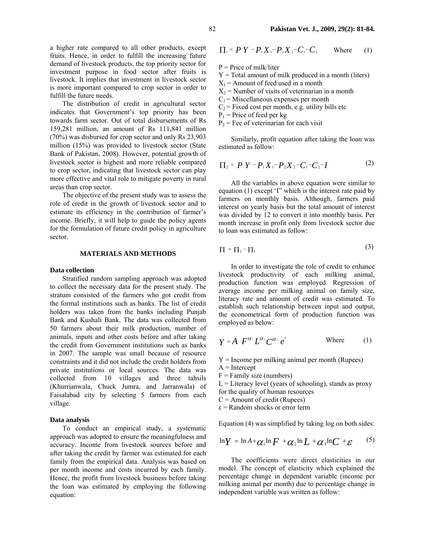a higher rate compared to all other products, except fruits. Hence, in order to fulfill the increasing future demand of livestock products, the top priority sector for investment purpose in food sector after fruits is livestock. It implies that investment in livestock sector is more important compared to crop sector in order to fulfill the future needs.

The distribution of credit in agricultural sector indicates that Government's top priority has been towards farm sector. Out of total disbursements of Rs 159,281 million, an amount of Rs 111,841 million (70%) was disbursed for crop sector and only Rs 23,903 million (15%) was provided to livestock sector (State Bank of Pakistan, 2008). However, potential growth of livestock sector is highest and more reliable compared to crop sector, indicating that livestock sector can play more effective and vital role to mitigate poverty in rural areas than crop sector.

The objective of the present study was to assess the role of credit in the growth of livestock sector and to estimate its efficiency in the contribution of farmer's income. Briefly, it will help to guide the policy agents for the formulation of future credit policy in agriculture sector.

### **MATERIALS AND METHODS**

### **Data collection**

Stratified random sampling approach was adopted to collect the necessary data for the present study. The stratum consisted of the farmers who got credit from the formal institutions such as banks. The list of credit holders was taken from the banks including Punjab Bank and Kushali Bank. The data was collected from 50 farmers about their milk production, number of animals, inputs and other costs before and after taking the credit from Government institutions such as banks in 2007. The sample was small because of resource constraints and it did not include the credit holders from private institutions or local sources. The data was collected from 10 villages and three tahsils (Khurrianwala, Chuck Jumra, and Jarranwala) of Faisalabad city by selecting 5 farmers from each village.

#### **Data analysis**

To conduct an empirical study, a systematic approach was adopted to ensure the meaningfulness and accuracy. Income from livestock sources before and after taking the credit by farmer was estimated for each family from the empirical data. Analysis was based on per month income and costs incurred by each family. Hence, the profit from livestock business before taking the loan was estimated by employing the following equation:

$$
\Pi_1 = P Y - P_1 X_1 - P_2 X_2 - C_1 - C_2 \quad \text{Where} \quad (1)
$$

 $P =$ Price of milk/liter

- $Y = Total$  amount of milk produced in a month (liters)
- $X_1$  = Amount of feed used in a month
- $X_2$  = Number of visits of veterinarian in a month
- $C_1$  = Miscellaneous expenses per month
- $C_2$  = Fixed cost per month, e.g. utility bills etc
- $P_1$  = Price of feed per kg
- $P_2$  = Fee of veterinarian for each visit

Similarly, profit equation after taking the loan was estimated as follow:

$$
\Pi_2 = P Y - P_1 X_1 - P_2 X_2 - C_1 - C_2 - I \tag{2}
$$

All the variables in above equation were similar to equation (1) except 'I" which is the interest rate paid by farmers on monthly basis. Although, farmers paid interest on yearly basis but the total amount of interest was divided by 12 to convert it into monthly basis. Per month increase in profit only from livestock sector due to loan was estimated as follow:

$$
\Pi = \Pi_2 - \Pi_1 \tag{3}
$$

In order to investigate the role of credit to enhance livestock productivity of each milking animal, production function was employed. Regression of average income per milking animal on family size, literacy rate and amount of credit was estimated. To establish such relationship between input and output, the econometrical form of production function was employed as below:

$$
Y = A \tF^{\alpha_1} L^{\alpha_2} C^{\alpha_3} e^{t} \t\text{Where } (1)
$$

 $Y =$  Income per milking animal per month (Rupees)

- $A =$ Intercept
- $F =$  Family size (numbers)
- $L =$  Literacy level (years of schooling), stands as proxy
- for the quality of human resources
- $C =$  Amount of credit (Rupees)
- $\epsilon$  = Random shocks or error term

Equation (4) was simplified by taking log on both sides:

$$
\ln Y = \ln A + \alpha_1 \ln F + \alpha_2 \ln L + \alpha_3 \ln C + \varepsilon
$$
 (5)

The coefficients were direct elasticities in our model. The concept of elasticity which explained the percentage change in dependent variable (income per milking animal per month) due to percentage change in independent variable was written as follow: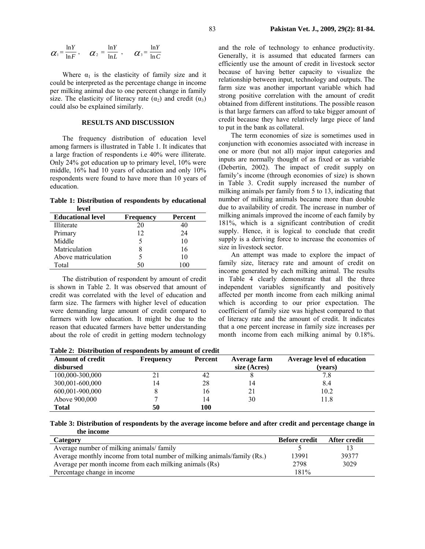$$
\alpha_1 = \frac{\ln Y}{\ln F}, \quad \alpha_2 = \frac{\ln Y}{\ln L}, \quad \alpha_3 = \frac{\ln Y}{\ln C}
$$

Where  $\alpha_1$  is the elasticity of family size and it could be interpreted as the percentage change in income per milking animal due to one percent change in family size. The elasticity of literacy rate  $(\alpha_2)$  and credit  $(\alpha_3)$ could also be explained similarly.

### **RESULTS AND DISCUSSION**

The frequency distribution of education level among farmers is illustrated in Table 1. It indicates that a large fraction of respondents i.e 40% were illiterate. Only 24% got education up to primary level, 10% were middle, 16% had 10 years of education and only 10% respondents were found to have more than 10 years of education.

**Table 1: Distribution of respondents by educational level** 

| <b>Educational level</b> | <b>Frequency</b> | Percent |
|--------------------------|------------------|---------|
| Illiterate               | 20               | 40      |
| Primary                  | 12               | 24      |
| Middle                   |                  | 10      |
| Matriculation            | 8                | 16      |
| Above matriculation      | 5                | 10      |
| Total                    | 50               |         |

The distribution of respondent by amount of credit is shown in Table 2. It was observed that amount of credit was correlated with the level of education and farm size. The farmers with higher level of education were demanding large amount of credit compared to farmers with low education. It might be due to the reason that educated farmers have better understanding about the role of credit in getting modern technology

and the role of technology to enhance productivity. Generally, it is assumed that educated farmers can efficiently use the amount of credit in livestock sector because of having better capacity to visualize the relationship between input, technology and outputs. The farm size was another important variable which had strong positive correlation with the amount of credit obtained from different institutions. The possible reason is that large farmers can afford to take bigger amount of credit because they have relatively large piece of land to put in the bank as collateral.

The term economies of size is sometimes used in conjunction with economies associated with increase in one or more (but not all) major input categories and inputs are normally thought of as fixed or as variable (Debertin, 2002). The impact of credit supply on family's income (through economies of size) is shown in Table 3. Credit supply increased the number of milking animals per family from 5 to 13, indicating that number of milking animals became more than double due to availability of credit. The increase in number of milking animals improved the income of each family by 181%, which is a significant contribution of credit supply. Hence, it is logical to conclude that credit supply is a deriving force to increase the economies of size in livestock sector.

An attempt was made to explore the impact of family size, literacy rate and amount of credit on income generated by each milking animal. The results in Table 4 clearly demonstrate that all the three independent variables significantly and positively affected per month income from each milking animal which is according to our prior expectation. The coefficient of family size was highest compared to that of literacy rate and the amount of credit. It indicates that a one percent increase in family size increases per month income from each milking animal by 0.18%.

**Table 2: Distribution of respondents by amount of credit** 

| <b>Amount of credit</b> | <b>Frequency</b> | Percent | Average farm | <b>Average level of education</b> |
|-------------------------|------------------|---------|--------------|-----------------------------------|
| disbursed               |                  |         | size (Acres) | (years)                           |
| 100,000-300,000         | 21               | 42      |              | 7.8                               |
| 300,001-600,000         | 14               | 28      | 14           | 8.4                               |
| 600,001-900,000         |                  | 16      | 21           | 10.2                              |
| Above 900,000           |                  | 14      | 30           | 11.8                              |
| <b>Total</b>            | 50               | 100     |              |                                   |

**Table 3: Distribution of respondents by the average income before and after credit and percentage change in the income** 

| Category                                                                 | <b>Before credit</b> | After credit |
|--------------------------------------------------------------------------|----------------------|--------------|
| Average number of milking animals/family                                 |                      |              |
| Average monthly income from total number of milking animals/family (Rs.) | 13991                | 39377        |
| Average per month income from each milking animals (Rs)                  | 2798                 | 3029         |
| Percentage change in income                                              | 181%                 |              |